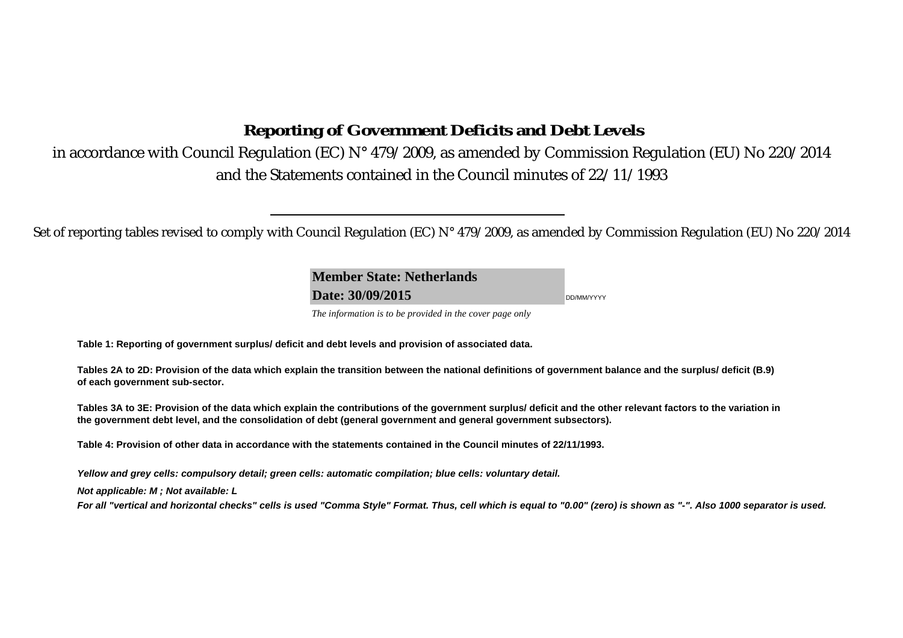# **Reporting of Government Deficits and Debt Levels**

in accordance with Council Regulation (EC) N° 479/2009, as amended by Commission Regulation (EU) No 220/2014 and the Statements contained in the Council minutes of 22/11/1993

Set of reporting tables revised to comply with Council Regulation (EC) N° 479/2009, as amended by Commission Regulation (EU) No 220/2014

**Member State: NetherlandsDate: 30/09/2015**DD/MM/YYYY

*The information is to be provided in the cover page only* 

**Table 1: Reporting of government surplus/ deficit and debt levels and provision of associated data.**

**Tables 2A to 2D: Provision of the data which explain the transition between the national definitions of government balance and the surplus/ deficit (B.9) of each government sub-sector.**

**Tables 3A to 3E: Provision of the data which explain the contributions of the government surplus/ deficit and the other relevant factors to the variation in the government debt level, and the consolidation of debt (general government and general government subsectors).**

**Table 4: Provision of other data in accordance with the statements contained in the Council minutes of 22/11/1993.**

*Yellow and grey cells: compulsory detail; green cells: automatic compilation; blue cells: voluntary detail.*

*Not applicable: M ; Not available: L* 

*For all "vertical and horizontal checks" cells is used "Comma Style" Format. Thus, cell which is equal to "0.00" (zero) is shown as "-". Also 1000 separator is used.*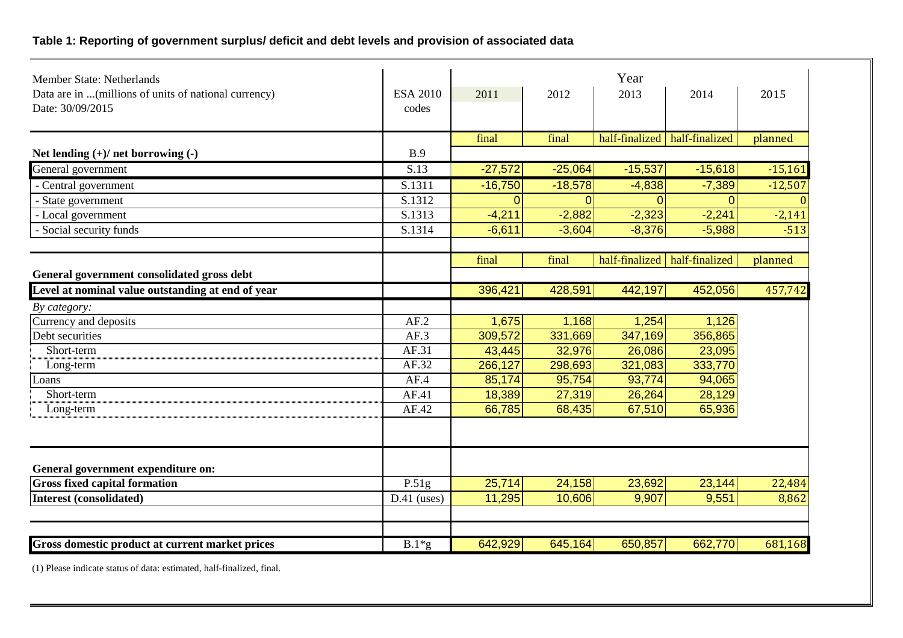## **Table 1: Reporting of government surplus/ deficit and debt levels and provision of associated data**

| <b>Member State: Netherlands</b>                      |                 |           |           | Year                            |                                 |           |
|-------------------------------------------------------|-----------------|-----------|-----------|---------------------------------|---------------------------------|-----------|
| Data are in  (millions of units of national currency) | <b>ESA 2010</b> | 2011      | 2012      | 2013                            | 2014                            | 2015      |
| Date: 30/09/2015                                      | codes           |           |           |                                 |                                 |           |
|                                                       |                 |           |           |                                 |                                 |           |
|                                                       |                 | final     | final     | half-finalized   half-finalized |                                 | planned   |
| Net lending $(+)/$ net borrowing $(-)$                | B.9             |           |           |                                 |                                 |           |
| General government                                    | S.13            | $-27,572$ | $-25,064$ | $-15,537$                       | $-15,618$                       | $-15,161$ |
| - Central government                                  | S.1311          | $-16,750$ | $-18,578$ | $-4,838$                        | $-7,389$                        | $-12,507$ |
| - State government                                    | S.1312          | $\Omega$  | $\Omega$  |                                 | $\Omega$                        |           |
| - Local government                                    | S.1313          | $-4,211$  | $-2,882$  | $-2,323$                        | $-2,241$                        | $-2,141$  |
| - Social security funds                               | S.1314          | $-6,611$  | $-3,604$  | $-8,376$                        | $-5,988$                        | $-513$    |
|                                                       |                 |           |           |                                 |                                 |           |
|                                                       |                 | final     | final     |                                 | half-finalized   half-finalized | planned   |
| General government consolidated gross debt            |                 |           |           |                                 |                                 |           |
| Level at nominal value outstanding at end of year     |                 | 396,421   | 428,591   | 442,197                         | 452,056                         | 457,742   |
| By category:                                          |                 |           |           |                                 |                                 |           |
| Currency and deposits                                 | AF.2            | 1,675     | 1,168     | 1,254                           | 1,126                           |           |
| Debt securities                                       | AF.3            | 309,572   | 331,669   | 347,169                         | 356,865                         |           |
| Short-term                                            | AF.31           | 43,445    | 32,976    | 26,086                          | 23,095                          |           |
| Long-term                                             | AF.32           | 266,127   | 298,693   | 321,083                         | 333,770                         |           |
| Loans                                                 | AF.4            | 85,174    | 95,754    | 93,774                          | 94,065                          |           |
| Short-term                                            | AF.41           | 18,389    | 27,319    | 26,264                          | 28,129                          |           |
| Long-term                                             | AF.42           | 66,785    | 68,435    | 67,510                          | 65,936                          |           |
|                                                       |                 |           |           |                                 |                                 |           |
|                                                       |                 |           |           |                                 |                                 |           |
|                                                       |                 |           |           |                                 |                                 |           |
| General government expenditure on:                    |                 |           |           |                                 |                                 |           |
| <b>Gross fixed capital formation</b>                  | P.51g           | 25,714    | 24,158    | 23,692                          | 23,144                          | 22,484    |
| <b>Interest (consolidated)</b>                        | $D.41$ (uses)   | 11,295    | 10,606    | 9,907                           | 9,551                           | 8,862     |
|                                                       |                 |           |           |                                 |                                 |           |
|                                                       |                 |           |           |                                 |                                 |           |
| Gross domestic product at current market prices       | $B.1*g$         | 642,929   | 645,164   | 650,857                         | 662,770                         | 681,168   |

(1) Please indicate status of data: estimated, half-finalized, final.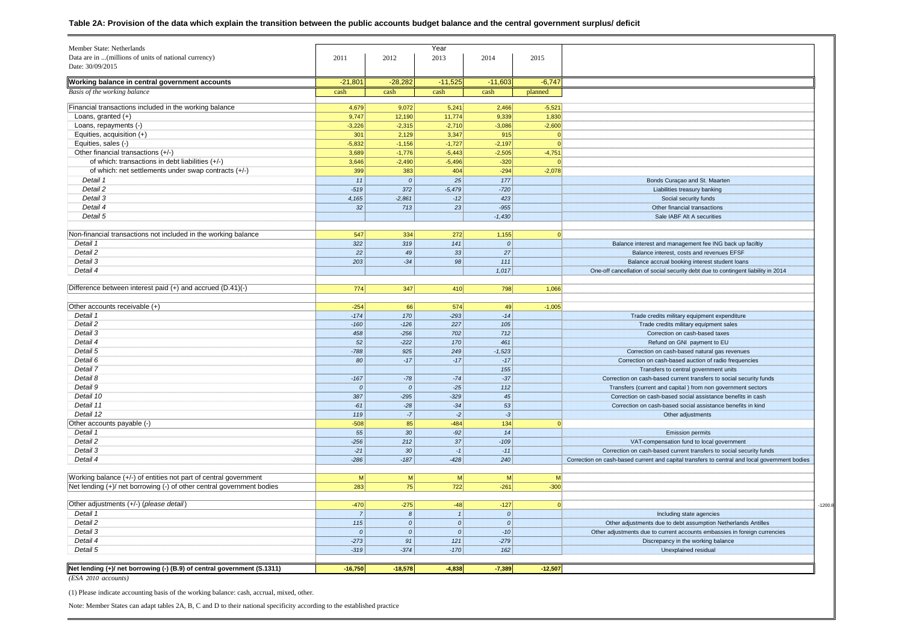#### **Table 2A: Provision of the data which explain the transition between the public accounts budget balance and the central government surplus/ deficit**

| Member State: Netherlands                                               |                |                 | Year      |               |                |                                                                                               |
|-------------------------------------------------------------------------|----------------|-----------------|-----------|---------------|----------------|-----------------------------------------------------------------------------------------------|
| Data are in  (millions of units of national currency)                   | 2011           | 2012            | 2013      | 2014          | 2015           |                                                                                               |
| Date: 30/09/2015                                                        |                |                 |           |               |                |                                                                                               |
| Working balance in central government accounts                          | $-21,801$      | $-28,282$       | $-11,525$ | $-11,603$     | $-6,747$       |                                                                                               |
| Basis of the working balance                                            | cash           | cash            | cash      | cash          | planned        |                                                                                               |
| Financial transactions included in the working balance                  | 4,679          | 9,072           | 5,241     | 2,466         | $-5,521$       |                                                                                               |
| Loans, granted $(+)$                                                    | 9,747          | 12,190          | 11,774    | 9,339         | 1,830          |                                                                                               |
| Loans, repayments (-)                                                   | $-3,226$       | $-2,315$        | $-2,710$  | $-3,086$      | $-2,600$       |                                                                                               |
| Equities, acquisition (+)                                               | 301            | 2,129           | 3,347     | 915           | $\overline{0}$ |                                                                                               |
| Equities, sales (-)                                                     | $-5,832$       | $-1,156$        | $-1,727$  | $-2,197$      | $\Omega$       |                                                                                               |
| Other financial transactions (+/-)                                      | 3,689          | $-1,776$        | $-5,443$  | $-2,505$      | $-4,751$       |                                                                                               |
| of which: transactions in debt liabilities (+/-)                        | 3,646          | $-2,490$        | $-5,496$  | $-320$        | $\Omega$       |                                                                                               |
| of which: net settlements under swap contracts (+/-)                    | 399            | 383             | 404       | $-294$        | $-2,078$       |                                                                                               |
| Detail 1                                                                | 11             | 0               | 25        | 177           |                | Bonds Curaçao and St. Maarten                                                                 |
| Detail 2                                                                | $-519$         | 372             | $-5,479$  | $-720$        |                | Liabilities treasury banking                                                                  |
| Detail 3                                                                | 4,165          | $-2,861$        | $-12$     | 423           |                | Social security funds                                                                         |
| Detail 4                                                                | 32             | $713$           | 23        | $-955$        |                | Other financial transactions                                                                  |
| Detail 5                                                                |                |                 |           | $-1,430$      |                | Sale IABF Alt A securities                                                                    |
|                                                                         |                |                 |           |               |                |                                                                                               |
| Non-financial transactions not included in the working balance          | 547            | 334             | 272       | 1,155         |                |                                                                                               |
| Detail 1                                                                | 322            | 319             | 141       | $\mathcal{O}$ |                | Balance interest and management fee ING back up faciltiy                                      |
| Detail 2                                                                | 22             | 49              | 33        | 27            |                | Balance interest, costs and revenues EFSF                                                     |
| Detail 3                                                                | 203            | $-34$           | 98        | 111           |                | Balance accrual booking interest student loans                                                |
| Detail 4                                                                |                |                 |           | 1,017         |                | One-off cancellation of social security debt due to contingent liability in 2014              |
|                                                                         |                |                 |           |               |                |                                                                                               |
| Difference between interest paid (+) and accrued (D.41)(-)              | 774            | 347             | 410       | 798           | 1,066          |                                                                                               |
|                                                                         |                |                 |           |               |                |                                                                                               |
| Other accounts receivable (+)                                           | $-254$         | 66              | 574       | 49            | $-1,005$       |                                                                                               |
| Detail 1                                                                | $-174$         | 170             | $-293$    | $-14$         |                | Trade credits military equipment expenditure                                                  |
| Detail 2                                                                | $-160$         | $-126$          | 227       | 105           |                | Trade credits military equipment sales                                                        |
| Detail 3                                                                | 458            | $-256$          | 702       | 712           |                | Correction on cash-based taxes                                                                |
| Detail 4                                                                | 52             | $-222$          | 170       | 461           |                | Refund on GNI payment to EU                                                                   |
| Detail 5                                                                | $-788$         | 925             | 249       | $-1,523$      |                | Correction on cash-based natural gas revenues                                                 |
| Detail 6                                                                | 80             | $-17$           | $-17$     | $-17$         |                | Correction on cash-based auction of radio frequencies                                         |
| Detail 7                                                                |                |                 |           | 155           |                | Transfers to central government units                                                         |
| Detail 8                                                                | $-167$         | $-78$           | $-74$     | $-37$         |                | Correction on cash-based current transfers to social security funds                           |
| Detail 9                                                                | 0              | 0               | $-25$     | 112           |                | Transfers (current and capital) from non government sectors                                   |
| Detail 10                                                               | 387            | $-295$          | $-329$    | 45            |                | Correction on cash-based social assistance benefits in cash                                   |
| Detail 11                                                               | $-61$          | $-28$           | $-34$     | 53            |                | Correction on cash-based social assistance benefits in kind                                   |
| Detail 12                                                               | 119            | $-7$            | $-2$      | $-3$          |                | Other adjustments                                                                             |
| Other accounts payable (-)                                              | $-508$         | 85              | $-484$    | 134           | $\mathbf 0$    |                                                                                               |
| Detail 1                                                                | 55             | 30 <sup>°</sup> | $-92$     | 14            |                | <b>Emission permits</b>                                                                       |
| Detail 2                                                                | $-256$         | 212             | 37        | $-109$        |                | VAT-compensation fund to local government                                                     |
| Detail 3                                                                | $-21$          | 30 <sup>°</sup> | $-1$      | $-11$         |                | Correction on cash-based current transfers to social security funds                           |
| Detail 4                                                                | $-286$         | $-187$          | $-428$    | 240           |                | Correction on cash-based current and capital transfers to central and local government bodies |
|                                                                         |                |                 |           |               |                |                                                                                               |
| Working balance (+/-) of entities not part of central government        | $\mathsf{M}$   | M               | M         | M             | M              |                                                                                               |
| Net lending (+)/ net borrowing (-) of other central government bodies   | 283            | 75              | 722       | $-261$        | $-300$         |                                                                                               |
|                                                                         |                |                 |           |               |                |                                                                                               |
| Other adjustments (+/-) (please detail)                                 | $-470$         | $-275$          | -48       | $-127$        | $\Omega$       |                                                                                               |
| Detail 1                                                                | $\overline{7}$ | 8 <sup>1</sup>  | 1         | $\mathcal{O}$ |                | Including state agencies                                                                      |
| Detail 2                                                                | 115            | 0               | 0         | $\mathcal{O}$ |                | Other adjustments due to debt assumption Netherlands Antilles                                 |
| Detail 3                                                                | 0              | 0               | 0         | $-10$         |                | Other adjustments due to current accounts embassies in foreign currencies                     |
| Detail 4                                                                | $-273$         | 91              | 121       | $-279$        |                | Discrepancy in the working balance                                                            |
| Detail 5                                                                | $-319$         | $-374$          | $-170$    | 162           |                | Unexplained residual                                                                          |
|                                                                         |                |                 |           |               |                |                                                                                               |
| Net lending (+)/ net borrowing (-) (B.9) of central government (S.1311) | $-16,750$      | $-18,578$       | $-4,838$  | $-7,389$      | $-12,507$      |                                                                                               |
|                                                                         |                |                 |           |               |                |                                                                                               |

*(ESA 2010 accounts)*

(1) Please indicate accounting basis of the working balance: cash, accrual, mixed, other.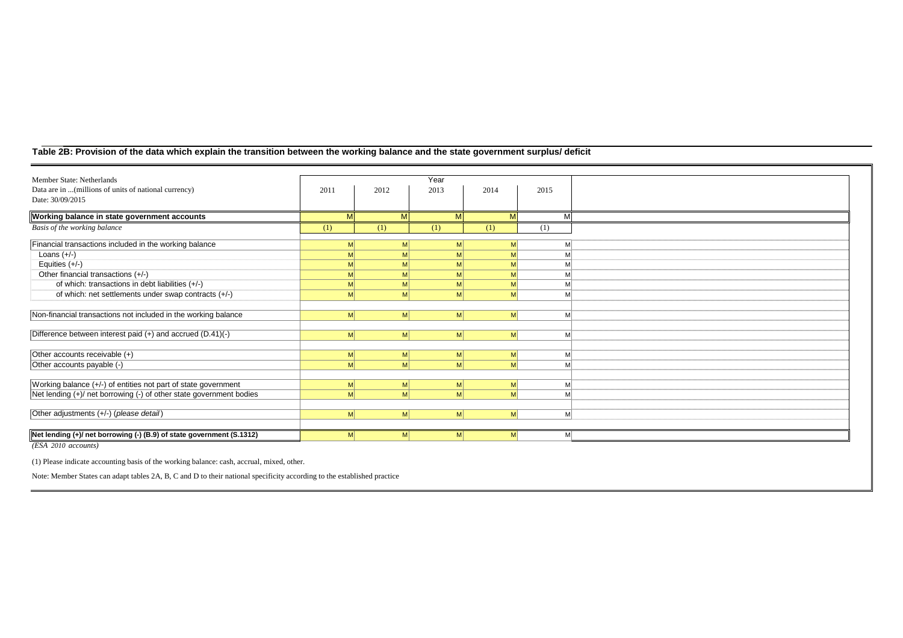## **Table 2B: Provision of the data which explain the transition between the working balance and the state government surplus/ deficit**

| Member State: Netherlands                                             |      |                      | Year           |                |      |  |
|-----------------------------------------------------------------------|------|----------------------|----------------|----------------|------|--|
| Data are in  (millions of units of national currency)                 | 2011 | 2012                 | 2013           | 2014           | 2015 |  |
| Date: 30/09/2015                                                      |      |                      |                |                |      |  |
| Working balance in state government accounts                          | M    | M                    | M              | M              | M    |  |
| Basis of the working balance                                          | (1)  | (1)                  | (1)            | (1)            | (1)  |  |
| Financial transactions included in the working balance                | M    | м                    | M              | M              | M    |  |
| Loans $(+/-)$                                                         | M    |                      | M              | M              | M    |  |
| Equities $(+/-)$                                                      | M    |                      |                | M              | M    |  |
| Other financial transactions (+/-)                                    |      |                      |                |                |      |  |
|                                                                       | M    |                      |                | M              |      |  |
| of which: transactions in debt liabilities (+/-)                      |      | M<br>M               | M              | M <sup>2</sup> | M    |  |
| of which: net settlements under swap contracts (+/-)                  |      | M <br>M              | M              | M              | M    |  |
|                                                                       |      |                      |                |                |      |  |
| Non-financial transactions not included in the working balance        |      | M <sup>2</sup><br>мI | M <sup>2</sup> | M              | M    |  |
|                                                                       |      |                      |                |                |      |  |
| Difference between interest paid (+) and accrued (D.41)(-)            |      | M <sup>2</sup><br>M  | <sub>M</sub>   | $\mathsf{M}$   | M    |  |
|                                                                       |      |                      |                |                |      |  |
| Other accounts receivable (+)                                         | M    | M                    | M              | M              | M    |  |
| Other accounts payable (-)                                            |      | M <sub>l</sub><br>M  | <sub>M</sub>   | M <sup>2</sup> | M    |  |
|                                                                       |      |                      |                |                |      |  |
| Working balance (+/-) of entities not part of state government        | M    | M                    | M              | M              | M    |  |
| Net lending (+)/ net borrowing (-) of other state government bodies   |      | <sub>M</sub><br>мI   | M              | M              | M    |  |
|                                                                       |      |                      |                |                |      |  |
| Other adjustments (+/-) (please detail)                               |      | M <sub>l</sub><br>M  | M              | M <sup>2</sup> | M    |  |
|                                                                       |      |                      |                |                |      |  |
| Net lending (+)/ net borrowing (-) (B.9) of state government (S.1312) |      | M <sup>2</sup><br>M  | <sub>M</sub>   | M              | M    |  |
| $(ESA 2010$ accounts)                                                 |      |                      |                |                |      |  |

(1) Please indicate accounting basis of the working balance: cash, accrual, mixed, other.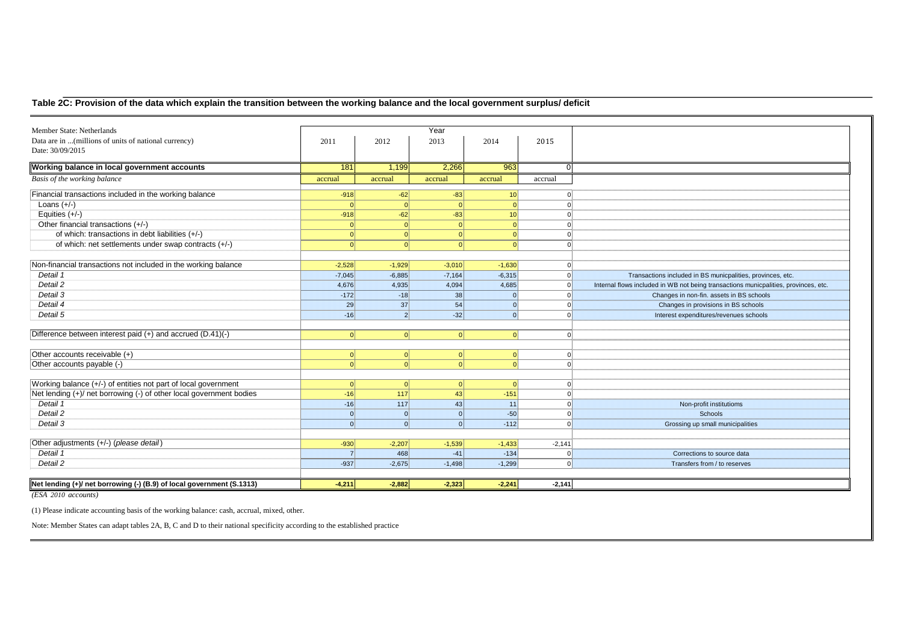## **Table 2C: Provision of the data which explain the transition between the working balance and the local government surplus/ deficit**

| Data are in  (millions of units of national currency)<br>2011<br>2012<br>2013<br>2014<br>2015<br>Date: 30/09/2015<br>Working balance in local government accounts<br>181<br>2,266<br>963<br>1,199<br>$\Omega$<br>Basis of the working balance<br>accrual<br>accrual<br>accrual<br>accrual<br>accrual<br>Financial transactions included in the working balance<br>$-918$<br>$-62$<br>$-83$<br>10 <sup>1</sup><br>$\Omega$<br>Loans $(+/-)$<br>-OI<br>$\Omega$<br>Equities $(+/-)$<br>$-83$<br>$-918$<br>$-62$<br>10<br>$\Omega$<br>Other financial transactions (+/-)<br> 0 <br>$\Omega$<br>$\Omega$<br>of which: transactions in debt liabilities (+/-)<br> 0 <br>$\Omega$<br>$\Omega$<br>of which: net settlements under swap contracts (+/-)<br>$\Omega$<br>$\Omega$<br>$\Omega$<br>Non-financial transactions not included in the working balance<br>$-2,528$<br>$-1,929$<br>$-3,010$<br>$-1,630$<br>$\Omega$<br>Detail 1<br>$-7,045$<br>$-6,885$<br>$-7,164$<br>$-6,315$<br>Transactions included in BS municpalities, provinces, etc.<br>Detail 2<br>4,685<br>4,676<br>4,935<br>4,094<br>Internal flows included in WB not being transactions municpalities, provinces, etc.<br>Detail 3<br>$-172$<br>$-18$<br>38<br>Changes in non-fin. assets in BS schools<br>Detail 4<br>29<br>37<br>54<br>Changes in provisions in BS schools<br>Detail 5<br>$-16$<br>$\overline{2}$<br>$-32$<br>Interest expenditures/revenues schools<br>Difference between interest paid (+) and accrued (D.41)(-)<br> 0 <br>$\Omega$<br>$\Omega$<br>$\Omega$<br>$\Omega$<br>Other accounts receivable (+)<br> 0 <br> 0 <br> 0 <br>$\Omega$<br> 0 <br>Other accounts payable (-)<br>$\Omega$<br>$\Omega$<br>$\Omega$<br>Working balance (+/-) of entities not part of local government<br> 0 <br> 0 <br>$\Omega$<br>$\Omega$<br>Net lending (+)/ net borrowing (-) of other local government bodies<br>43<br>$-151$<br>$-16$<br>117<br>Detail 1<br>43<br>11<br>$-16$<br>117<br>Non-profit institutioms<br>Detail 2<br>$-50$<br><b>Schools</b><br>$\Omega$<br> 0 <br> 0 <br>Detail 3<br>$\Omega$<br>$\Omega$<br>$\Omega$<br>$-112$<br>Grossing up small municipalities<br>Other adjustments (+/-) (please detail)<br>$-930$<br>$-2,207$<br>$-1,539$<br>$-1,433$<br>$-2,141$<br>Detail 1<br>468<br>$-134$<br>$\overline{7}$<br>$-41$<br>Corrections to source data<br>$\Omega$<br>Detail 2<br>$-2,675$<br>$-1,299$<br>$-937$<br>$-1,498$<br>Transfers from / to reserves<br>$\Omega$ | Member State: Netherlands                                             |          |          | Year     |          |          |  |
|------------------------------------------------------------------------------------------------------------------------------------------------------------------------------------------------------------------------------------------------------------------------------------------------------------------------------------------------------------------------------------------------------------------------------------------------------------------------------------------------------------------------------------------------------------------------------------------------------------------------------------------------------------------------------------------------------------------------------------------------------------------------------------------------------------------------------------------------------------------------------------------------------------------------------------------------------------------------------------------------------------------------------------------------------------------------------------------------------------------------------------------------------------------------------------------------------------------------------------------------------------------------------------------------------------------------------------------------------------------------------------------------------------------------------------------------------------------------------------------------------------------------------------------------------------------------------------------------------------------------------------------------------------------------------------------------------------------------------------------------------------------------------------------------------------------------------------------------------------------------------------------------------------------------------------------------------------------------------------------------------------------------------------------------------------------------------------------------------------------------------------------------------------------------------------------------------------------------------------------------------------------------------------------------------------------------------------------------------------------------------------------------------------------------------------------------------------------|-----------------------------------------------------------------------|----------|----------|----------|----------|----------|--|
|                                                                                                                                                                                                                                                                                                                                                                                                                                                                                                                                                                                                                                                                                                                                                                                                                                                                                                                                                                                                                                                                                                                                                                                                                                                                                                                                                                                                                                                                                                                                                                                                                                                                                                                                                                                                                                                                                                                                                                                                                                                                                                                                                                                                                                                                                                                                                                                                                                                                  |                                                                       |          |          |          |          |          |  |
|                                                                                                                                                                                                                                                                                                                                                                                                                                                                                                                                                                                                                                                                                                                                                                                                                                                                                                                                                                                                                                                                                                                                                                                                                                                                                                                                                                                                                                                                                                                                                                                                                                                                                                                                                                                                                                                                                                                                                                                                                                                                                                                                                                                                                                                                                                                                                                                                                                                                  |                                                                       |          |          |          |          |          |  |
|                                                                                                                                                                                                                                                                                                                                                                                                                                                                                                                                                                                                                                                                                                                                                                                                                                                                                                                                                                                                                                                                                                                                                                                                                                                                                                                                                                                                                                                                                                                                                                                                                                                                                                                                                                                                                                                                                                                                                                                                                                                                                                                                                                                                                                                                                                                                                                                                                                                                  |                                                                       |          |          |          |          |          |  |
|                                                                                                                                                                                                                                                                                                                                                                                                                                                                                                                                                                                                                                                                                                                                                                                                                                                                                                                                                                                                                                                                                                                                                                                                                                                                                                                                                                                                                                                                                                                                                                                                                                                                                                                                                                                                                                                                                                                                                                                                                                                                                                                                                                                                                                                                                                                                                                                                                                                                  |                                                                       |          |          |          |          |          |  |
|                                                                                                                                                                                                                                                                                                                                                                                                                                                                                                                                                                                                                                                                                                                                                                                                                                                                                                                                                                                                                                                                                                                                                                                                                                                                                                                                                                                                                                                                                                                                                                                                                                                                                                                                                                                                                                                                                                                                                                                                                                                                                                                                                                                                                                                                                                                                                                                                                                                                  |                                                                       |          |          |          |          |          |  |
|                                                                                                                                                                                                                                                                                                                                                                                                                                                                                                                                                                                                                                                                                                                                                                                                                                                                                                                                                                                                                                                                                                                                                                                                                                                                                                                                                                                                                                                                                                                                                                                                                                                                                                                                                                                                                                                                                                                                                                                                                                                                                                                                                                                                                                                                                                                                                                                                                                                                  |                                                                       |          |          |          |          |          |  |
|                                                                                                                                                                                                                                                                                                                                                                                                                                                                                                                                                                                                                                                                                                                                                                                                                                                                                                                                                                                                                                                                                                                                                                                                                                                                                                                                                                                                                                                                                                                                                                                                                                                                                                                                                                                                                                                                                                                                                                                                                                                                                                                                                                                                                                                                                                                                                                                                                                                                  |                                                                       |          |          |          |          |          |  |
|                                                                                                                                                                                                                                                                                                                                                                                                                                                                                                                                                                                                                                                                                                                                                                                                                                                                                                                                                                                                                                                                                                                                                                                                                                                                                                                                                                                                                                                                                                                                                                                                                                                                                                                                                                                                                                                                                                                                                                                                                                                                                                                                                                                                                                                                                                                                                                                                                                                                  |                                                                       |          |          |          |          |          |  |
|                                                                                                                                                                                                                                                                                                                                                                                                                                                                                                                                                                                                                                                                                                                                                                                                                                                                                                                                                                                                                                                                                                                                                                                                                                                                                                                                                                                                                                                                                                                                                                                                                                                                                                                                                                                                                                                                                                                                                                                                                                                                                                                                                                                                                                                                                                                                                                                                                                                                  |                                                                       |          |          |          |          |          |  |
|                                                                                                                                                                                                                                                                                                                                                                                                                                                                                                                                                                                                                                                                                                                                                                                                                                                                                                                                                                                                                                                                                                                                                                                                                                                                                                                                                                                                                                                                                                                                                                                                                                                                                                                                                                                                                                                                                                                                                                                                                                                                                                                                                                                                                                                                                                                                                                                                                                                                  |                                                                       |          |          |          |          |          |  |
|                                                                                                                                                                                                                                                                                                                                                                                                                                                                                                                                                                                                                                                                                                                                                                                                                                                                                                                                                                                                                                                                                                                                                                                                                                                                                                                                                                                                                                                                                                                                                                                                                                                                                                                                                                                                                                                                                                                                                                                                                                                                                                                                                                                                                                                                                                                                                                                                                                                                  |                                                                       |          |          |          |          |          |  |
|                                                                                                                                                                                                                                                                                                                                                                                                                                                                                                                                                                                                                                                                                                                                                                                                                                                                                                                                                                                                                                                                                                                                                                                                                                                                                                                                                                                                                                                                                                                                                                                                                                                                                                                                                                                                                                                                                                                                                                                                                                                                                                                                                                                                                                                                                                                                                                                                                                                                  |                                                                       |          |          |          |          |          |  |
|                                                                                                                                                                                                                                                                                                                                                                                                                                                                                                                                                                                                                                                                                                                                                                                                                                                                                                                                                                                                                                                                                                                                                                                                                                                                                                                                                                                                                                                                                                                                                                                                                                                                                                                                                                                                                                                                                                                                                                                                                                                                                                                                                                                                                                                                                                                                                                                                                                                                  |                                                                       |          |          |          |          |          |  |
|                                                                                                                                                                                                                                                                                                                                                                                                                                                                                                                                                                                                                                                                                                                                                                                                                                                                                                                                                                                                                                                                                                                                                                                                                                                                                                                                                                                                                                                                                                                                                                                                                                                                                                                                                                                                                                                                                                                                                                                                                                                                                                                                                                                                                                                                                                                                                                                                                                                                  |                                                                       |          |          |          |          |          |  |
|                                                                                                                                                                                                                                                                                                                                                                                                                                                                                                                                                                                                                                                                                                                                                                                                                                                                                                                                                                                                                                                                                                                                                                                                                                                                                                                                                                                                                                                                                                                                                                                                                                                                                                                                                                                                                                                                                                                                                                                                                                                                                                                                                                                                                                                                                                                                                                                                                                                                  |                                                                       |          |          |          |          |          |  |
|                                                                                                                                                                                                                                                                                                                                                                                                                                                                                                                                                                                                                                                                                                                                                                                                                                                                                                                                                                                                                                                                                                                                                                                                                                                                                                                                                                                                                                                                                                                                                                                                                                                                                                                                                                                                                                                                                                                                                                                                                                                                                                                                                                                                                                                                                                                                                                                                                                                                  |                                                                       |          |          |          |          |          |  |
|                                                                                                                                                                                                                                                                                                                                                                                                                                                                                                                                                                                                                                                                                                                                                                                                                                                                                                                                                                                                                                                                                                                                                                                                                                                                                                                                                                                                                                                                                                                                                                                                                                                                                                                                                                                                                                                                                                                                                                                                                                                                                                                                                                                                                                                                                                                                                                                                                                                                  |                                                                       |          |          |          |          |          |  |
|                                                                                                                                                                                                                                                                                                                                                                                                                                                                                                                                                                                                                                                                                                                                                                                                                                                                                                                                                                                                                                                                                                                                                                                                                                                                                                                                                                                                                                                                                                                                                                                                                                                                                                                                                                                                                                                                                                                                                                                                                                                                                                                                                                                                                                                                                                                                                                                                                                                                  |                                                                       |          |          |          |          |          |  |
|                                                                                                                                                                                                                                                                                                                                                                                                                                                                                                                                                                                                                                                                                                                                                                                                                                                                                                                                                                                                                                                                                                                                                                                                                                                                                                                                                                                                                                                                                                                                                                                                                                                                                                                                                                                                                                                                                                                                                                                                                                                                                                                                                                                                                                                                                                                                                                                                                                                                  |                                                                       |          |          |          |          |          |  |
|                                                                                                                                                                                                                                                                                                                                                                                                                                                                                                                                                                                                                                                                                                                                                                                                                                                                                                                                                                                                                                                                                                                                                                                                                                                                                                                                                                                                                                                                                                                                                                                                                                                                                                                                                                                                                                                                                                                                                                                                                                                                                                                                                                                                                                                                                                                                                                                                                                                                  |                                                                       |          |          |          |          |          |  |
|                                                                                                                                                                                                                                                                                                                                                                                                                                                                                                                                                                                                                                                                                                                                                                                                                                                                                                                                                                                                                                                                                                                                                                                                                                                                                                                                                                                                                                                                                                                                                                                                                                                                                                                                                                                                                                                                                                                                                                                                                                                                                                                                                                                                                                                                                                                                                                                                                                                                  |                                                                       |          |          |          |          |          |  |
|                                                                                                                                                                                                                                                                                                                                                                                                                                                                                                                                                                                                                                                                                                                                                                                                                                                                                                                                                                                                                                                                                                                                                                                                                                                                                                                                                                                                                                                                                                                                                                                                                                                                                                                                                                                                                                                                                                                                                                                                                                                                                                                                                                                                                                                                                                                                                                                                                                                                  |                                                                       |          |          |          |          |          |  |
|                                                                                                                                                                                                                                                                                                                                                                                                                                                                                                                                                                                                                                                                                                                                                                                                                                                                                                                                                                                                                                                                                                                                                                                                                                                                                                                                                                                                                                                                                                                                                                                                                                                                                                                                                                                                                                                                                                                                                                                                                                                                                                                                                                                                                                                                                                                                                                                                                                                                  |                                                                       |          |          |          |          |          |  |
|                                                                                                                                                                                                                                                                                                                                                                                                                                                                                                                                                                                                                                                                                                                                                                                                                                                                                                                                                                                                                                                                                                                                                                                                                                                                                                                                                                                                                                                                                                                                                                                                                                                                                                                                                                                                                                                                                                                                                                                                                                                                                                                                                                                                                                                                                                                                                                                                                                                                  |                                                                       |          |          |          |          |          |  |
|                                                                                                                                                                                                                                                                                                                                                                                                                                                                                                                                                                                                                                                                                                                                                                                                                                                                                                                                                                                                                                                                                                                                                                                                                                                                                                                                                                                                                                                                                                                                                                                                                                                                                                                                                                                                                                                                                                                                                                                                                                                                                                                                                                                                                                                                                                                                                                                                                                                                  |                                                                       |          |          |          |          |          |  |
|                                                                                                                                                                                                                                                                                                                                                                                                                                                                                                                                                                                                                                                                                                                                                                                                                                                                                                                                                                                                                                                                                                                                                                                                                                                                                                                                                                                                                                                                                                                                                                                                                                                                                                                                                                                                                                                                                                                                                                                                                                                                                                                                                                                                                                                                                                                                                                                                                                                                  |                                                                       |          |          |          |          |          |  |
|                                                                                                                                                                                                                                                                                                                                                                                                                                                                                                                                                                                                                                                                                                                                                                                                                                                                                                                                                                                                                                                                                                                                                                                                                                                                                                                                                                                                                                                                                                                                                                                                                                                                                                                                                                                                                                                                                                                                                                                                                                                                                                                                                                                                                                                                                                                                                                                                                                                                  |                                                                       |          |          |          |          |          |  |
|                                                                                                                                                                                                                                                                                                                                                                                                                                                                                                                                                                                                                                                                                                                                                                                                                                                                                                                                                                                                                                                                                                                                                                                                                                                                                                                                                                                                                                                                                                                                                                                                                                                                                                                                                                                                                                                                                                                                                                                                                                                                                                                                                                                                                                                                                                                                                                                                                                                                  |                                                                       |          |          |          |          |          |  |
|                                                                                                                                                                                                                                                                                                                                                                                                                                                                                                                                                                                                                                                                                                                                                                                                                                                                                                                                                                                                                                                                                                                                                                                                                                                                                                                                                                                                                                                                                                                                                                                                                                                                                                                                                                                                                                                                                                                                                                                                                                                                                                                                                                                                                                                                                                                                                                                                                                                                  |                                                                       |          |          |          |          |          |  |
|                                                                                                                                                                                                                                                                                                                                                                                                                                                                                                                                                                                                                                                                                                                                                                                                                                                                                                                                                                                                                                                                                                                                                                                                                                                                                                                                                                                                                                                                                                                                                                                                                                                                                                                                                                                                                                                                                                                                                                                                                                                                                                                                                                                                                                                                                                                                                                                                                                                                  | Net lending (+)/ net borrowing (-) (B.9) of local government (S.1313) | $-4,211$ | $-2,882$ | $-2,323$ | $-2,241$ | $-2,141$ |  |

*(ESA 2010 accounts)*

(1) Please indicate accounting basis of the working balance: cash, accrual, mixed, other.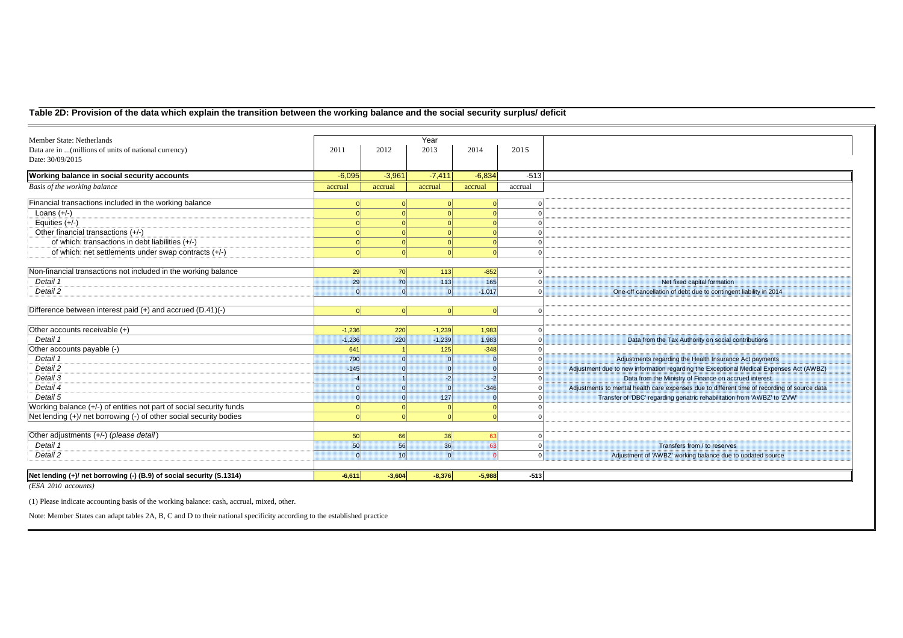### **Table 2D: Provision of the data which explain the transition between the working balance and the social security surplus/ deficit**

| Member State: Netherlands                                            |                 |                 | Year     |          |         |                                                                                              |
|----------------------------------------------------------------------|-----------------|-----------------|----------|----------|---------|----------------------------------------------------------------------------------------------|
| Data are in  (millions of units of national currency)                | 2011            | 2012            | 2013     | 2014     | 2015    |                                                                                              |
| Date: 30/09/2015                                                     |                 |                 |          |          |         |                                                                                              |
| Working balance in social security accounts                          | $-6,095$        | $-3,961$        | $-7.411$ | $-6.834$ | $-513$  |                                                                                              |
| Basis of the working balance                                         | accrual         | accrual         | accrual  | accrual  | accrual |                                                                                              |
| Financial transactions included in the working balance               |                 |                 |          |          |         |                                                                                              |
| Loans $(+/-)$                                                        |                 |                 |          |          |         |                                                                                              |
| Equities $(+/-)$                                                     |                 |                 |          |          |         |                                                                                              |
| Other financial transactions (+/-)                                   |                 |                 |          |          |         |                                                                                              |
| of which: transactions in debt liabilities (+/-)                     |                 |                 |          |          |         |                                                                                              |
| of which: net settlements under swap contracts (+/-)                 |                 |                 |          |          |         |                                                                                              |
|                                                                      |                 |                 |          |          |         |                                                                                              |
| Non-financial transactions not included in the working balance       | 29              | 70              | 113      | $-852$   |         |                                                                                              |
| Detail 1                                                             | 29              | 70              | 113      | 165      |         | Net fixed capital formation                                                                  |
| Detail 2                                                             | $\Omega$        | $\Omega$        | $\Omega$ | $-1,017$ |         | One-off cancellation of debt due to contingent liability in 2014                             |
| Difference between interest paid $(+)$ and accrued $(D.41)(-)$       | $\Omega$        | $\Omega$        | $\Omega$ | $\Omega$ |         |                                                                                              |
| Other accounts receivable (+)                                        | $-1,236$        | 220             | $-1,239$ | 1,983    |         |                                                                                              |
| Detail 1                                                             | $-1.236$        | 220             | $-1.239$ | 1.983    |         | Data from the Tax Authority on social contributions                                          |
| Other accounts payable (-)                                           | 641             |                 | 125      | $-348$   |         |                                                                                              |
| Detail 1                                                             | 790             | $\Omega$        |          |          |         | Adjustments regarding the Health Insurance Act payments                                      |
| Detail 2                                                             | $-145$          | $\Omega$        |          |          |         | Adjustment due to new information regarding the Exceptional Medical Expenses Act (AWBZ)      |
| Detail 3                                                             |                 |                 | $-2$     | $-2$     |         | Data from the Ministry of Finance on accrued interest                                        |
| Detail 4                                                             |                 | $\Omega$        |          | $-346$   |         | Adjustments to mental health care expenses due to different time of recording of source data |
| Detail 5                                                             |                 | $\Omega$        | 127      |          |         | Transfer of 'DBC' regarding geriatric rehabilitation from 'AWBZ' to 'ZVW'                    |
| Working balance (+/-) of entities not part of social security funds  |                 |                 |          |          |         |                                                                                              |
| Net lending (+)/ net borrowing (-) of other social security bodies   |                 |                 |          | $\Omega$ |         |                                                                                              |
| Other adjustments (+/-) (please detail)                              | 50 <sup>1</sup> | 66              | 36       | 63       |         |                                                                                              |
| Detail 1                                                             | 50 <sup>1</sup> | 56              | 36       | 63       |         | Transfers from / to reserves                                                                 |
| Detail 2                                                             | $\Omega$        | 10 <sup>1</sup> | $\Omega$ |          |         | Adjustment of 'AWBZ' working balance due to updated source                                   |
|                                                                      |                 |                 |          |          |         |                                                                                              |
| Net lending (+)/ net borrowing (-) (B.9) of social security (S.1314) | $-6.611$        | $-3.604$        | $-8.376$ | $-5,988$ | $-513$  |                                                                                              |

*(ESA 2010 accounts)*

(1) Please indicate accounting basis of the working balance: cash, accrual, mixed, other.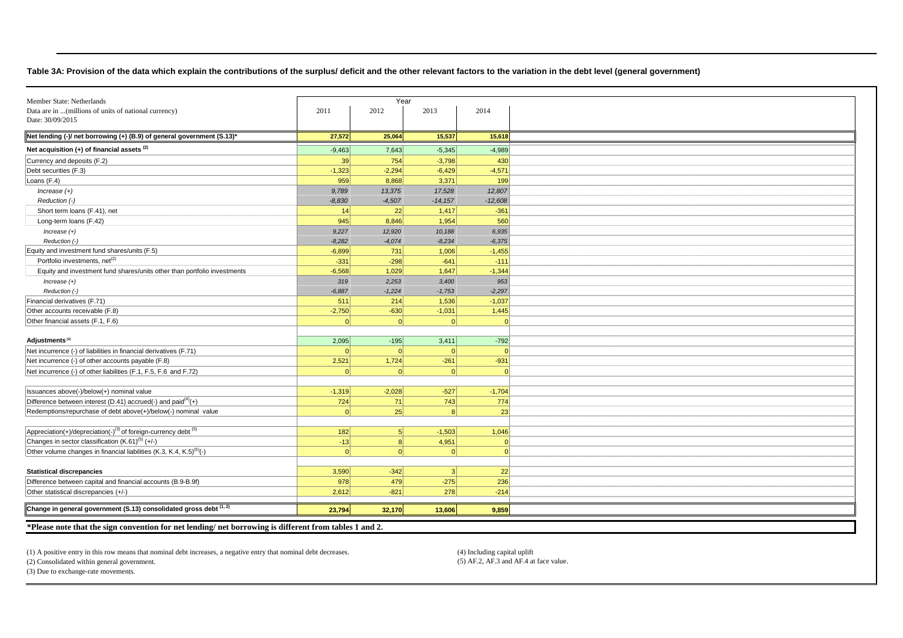#### **Table 3A: Provision of the data which explain the contributions of the surplus/ deficit and the other relevant factors to the variation in the debt level (general government)**

| Member State: Netherlands                                                                                                                                                                                       |                                 | Year                    |                     |                     |
|-----------------------------------------------------------------------------------------------------------------------------------------------------------------------------------------------------------------|---------------------------------|-------------------------|---------------------|---------------------|
| Data are in  (millions of units of national currency)                                                                                                                                                           | 2011                            | 2012                    | 2013                | 2014                |
| Date: 30/09/2015                                                                                                                                                                                                |                                 |                         |                     |                     |
|                                                                                                                                                                                                                 |                                 |                         |                     |                     |
| Net lending (-)/ net borrowing (+) (B.9) of general government (S.13)*                                                                                                                                          | 27,572                          | 25,064                  | 15,537              | 15,618              |
| Net acquisition $(+)$ of financial assets $(2)$                                                                                                                                                                 | $-9,463$                        | 7,643                   | $-5,345$            | $-4,989$            |
| Currency and deposits (F.2)                                                                                                                                                                                     | 39                              | 754                     | $-3,798$            | 430                 |
| Debt securities (F.3)                                                                                                                                                                                           | $-1,323$                        | $-2.294$                | $-6,429$            | $-4,571$            |
| Loans (F.4)                                                                                                                                                                                                     | 959                             | 8,868                   | 3,371               | 199                 |
| $Increase (+)$                                                                                                                                                                                                  | 9,789                           | 13,375                  | 17,528              | 12,807              |
| Reduction (-)                                                                                                                                                                                                   | $-8,830$                        | $-4,507$                | $-14, 157$          | $-12,608$           |
| Short term loans (F.41), net                                                                                                                                                                                    | 14                              | 22                      | 1,417               | $-361$              |
| Long-term loans (F.42)                                                                                                                                                                                          | 945                             | 8,846                   | 1,954               | 560                 |
| $Increase (+)$                                                                                                                                                                                                  | 9,227                           | 12,920                  | 10,188              | 6,935               |
| Reduction (-)                                                                                                                                                                                                   | $-8,282$                        | $-4,074$                | $-8,234$            | $-6,375$            |
| Equity and investment fund shares/units (F.5)                                                                                                                                                                   | $-6,899$                        | 731                     | 1,006               | $-1,455$            |
| Portfolio investments, net <sup>(2)</sup>                                                                                                                                                                       | $-331$                          | $-298$                  | $-641$              | $-111$              |
| Equity and investment fund shares/units other than portfolio investments                                                                                                                                        | $-6,568$                        | 1,029                   | 1,647               | $-1,344$            |
| $Increase (+)$                                                                                                                                                                                                  | 319                             | 2,253                   | 3,400               | 953                 |
| Reduction (-)                                                                                                                                                                                                   | $-6,887$                        | $-1,224$                | $-1,753$            | $-2,297$            |
| Financial derivatives (F.71)                                                                                                                                                                                    | 511                             | 214                     | 1,536               | $-1,037$            |
| Other accounts receivable (F.8)                                                                                                                                                                                 | $-2,750$                        | $-630$                  | $-1,031$            | 1,445               |
| Other financial assets (F.1, F.6)                                                                                                                                                                               | $\Omega$                        |                         | $\Omega$            | $\Omega$            |
|                                                                                                                                                                                                                 |                                 |                         |                     |                     |
| Adjustments <sup>(2)</sup>                                                                                                                                                                                      | 2,095                           | $-195$                  | 3,411               | $-792$              |
| Net incurrence (-) of liabilities in financial derivatives (F.71)                                                                                                                                               | $\Omega$                        | $\Omega$                | $\Omega$            | $\Omega$            |
| Net incurrence (-) of other accounts payable (F.8)                                                                                                                                                              | 2,521                           | 1,724                   | $-261$              | $-931$              |
| Net incurrence (-) of other liabilities (F.1, F.5, F.6 and F.72)                                                                                                                                                | $\Omega$                        |                         | $\Omega$            | $\sqrt{ }$          |
|                                                                                                                                                                                                                 |                                 |                         |                     |                     |
| Issuances above(-)/below(+) nominal value                                                                                                                                                                       | $-1,319$                        | $-2,028$                | $-527$              | $-1,704$            |
| Difference between interest (D.41) accrued(-) and paid <sup>(4)</sup> (+)                                                                                                                                       | 724                             | 71                      | 743                 | 774                 |
| Redemptions/repurchase of debt above(+)/below(-) nominal value                                                                                                                                                  | 0                               | 25                      | 8                   | 23                  |
|                                                                                                                                                                                                                 |                                 |                         |                     |                     |
| Appreciation(+)/depreciation(-) <sup>(3)</sup> of foreign-currency debt <sup>(5)</sup>                                                                                                                          | 182                             | 5 <sup>1</sup>          | $-1,503$            | 1,046               |
| Changes in sector classification $(K.61)^{(5)} (+/-)$                                                                                                                                                           | $-13$                           | $\mathbf{8}$            | 4,951               | $\cap$              |
| Other volume changes in financial liabilities (K.3, K.4, K.5) <sup>(5)</sup> (-)                                                                                                                                | 0                               | $\Omega$                | $\Omega$            | $\Omega$            |
|                                                                                                                                                                                                                 |                                 |                         |                     |                     |
|                                                                                                                                                                                                                 |                                 |                         |                     |                     |
|                                                                                                                                                                                                                 |                                 |                         |                     |                     |
|                                                                                                                                                                                                                 |                                 |                         |                     |                     |
|                                                                                                                                                                                                                 |                                 |                         |                     |                     |
|                                                                                                                                                                                                                 |                                 | 32,170                  | 13,606              | 9,859               |
| <b>Statistical discrepancies</b><br>Difference between capital and financial accounts (B.9-B.9f)<br>Other statistical discrepancies (+/-)<br>Change in general government (S.13) consolidated gross debt (1, 2) | 3,590<br>978<br>2,612<br>23,794 | $-342$<br>479<br>$-821$ | 3 <br>$-275$<br>278 | 22<br>236<br>$-214$ |

**\*Please note that the sign convention for net lending/ net borrowing is different from tables 1 and 2.** 

(1) A positive entry in this row means that nominal debt increases, a negative entry that nominal debt decreases. (4) Including capital uplift

(2) Consolidated within general government. (5) AF.2, AF.3 and AF.4 at face value.

(3) Due to exchange-rate movements.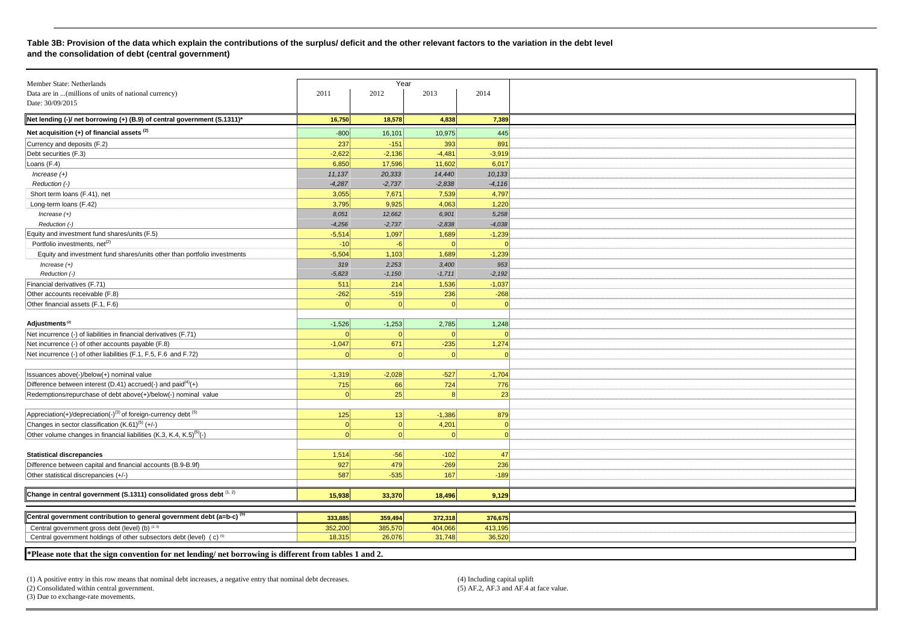#### **Table 3B: Provision of the data which explain the contributions of the surplus/ deficit and the other relevant factors to the variation in the debt level and the consolidation of debt (central government)**

| Member State: Netherlands                                                                                 |          | Year     |              |            |
|-----------------------------------------------------------------------------------------------------------|----------|----------|--------------|------------|
| Data are in  (millions of units of national currency)                                                     | 2011     | 2012     | 2013         | 2014       |
| Date: 30/09/2015                                                                                          |          |          |              |            |
|                                                                                                           |          |          |              |            |
| Net lending (-)/ net borrowing (+) (B.9) of central government (S.1311)*                                  | 16,750   | 18,578   | 4,838        | 7,389      |
| Net acquisition $(+)$ of financial assets $(2)$                                                           | $-800$   | 16,101   | 10,975       | 445        |
| Currency and deposits (F.2)                                                                               | 237      | $-151$   | 393          | 891        |
| Debt securities (F.3)                                                                                     | $-2,622$ | $-2,136$ | $-4,481$     | $-3,919$   |
| Loans (F.4)                                                                                               | 6,850    | 17,596   | 11,602       | 6,017      |
| $Increase (+)$                                                                                            | 11,137   | 20,333   | 14,440       | 10,133     |
| Reduction (-)                                                                                             | $-4,287$ | $-2,737$ | $-2,838$     | $-4,116$   |
| Short term loans (F.41), net                                                                              | 3,055    | 7,671    | 7,539        | 4,797      |
| Long-term loans (F.42)                                                                                    | 3,795    | 9,925    | 4,063        | 1,220      |
| Increase $(+)$                                                                                            | 8.051    | 12,662   | 6,901        | 5,258      |
| Reduction (-)                                                                                             | $-4,256$ | $-2,737$ | $-2,838$     | $-4,038$   |
| Equity and investment fund shares/units (F.5)                                                             | $-5,514$ | 1,097    | 1,689        | $-1,239$   |
| Portfolio investments, net <sup>(2)</sup>                                                                 | $-10$    | $-6$     |              |            |
| Equity and investment fund shares/units other than portfolio investments                                  | $-5,504$ | 1,103    | 1,689        | $-1,239$   |
| $Increase (+)$                                                                                            | 319      | 2,253    | 3,400        | 953        |
| Reduction (-)                                                                                             | $-5,823$ | $-1,150$ | $-1,711$     | $-2,192$   |
| Financial derivatives (F.71)                                                                              | 511      | 214      | 1,536        | $-1,037$   |
| Other accounts receivable (F.8)                                                                           | $-262$   | $-519$   | 236          | $-268$     |
| Other financial assets (F.1, F.6)                                                                         | $\Omega$ | $\Omega$ | $\Omega$     | $\Omega$   |
|                                                                                                           |          |          |              |            |
| Adjustments <sup>(2)</sup>                                                                                | $-1,526$ | $-1,253$ | 2,785        | 1,248      |
| Net incurrence (-) of liabilities in financial derivatives (F.71)                                         | $\Omega$ | $\Omega$ | $\Omega$     | $\Omega$   |
| Net incurrence (-) of other accounts payable (F.8)                                                        | $-1,047$ | 671      | $-235$       | 1,274      |
| Net incurrence (-) of other liabilities (F.1, F.5, F.6 and F.72)                                          |          | $\Omega$ | $\Omega$     | $\epsilon$ |
|                                                                                                           |          |          |              |            |
| Issuances above(-)/below(+) nominal value                                                                 | $-1,319$ | $-2,028$ | $-527$       | $-1,704$   |
| Difference between interest (D.41) accrued(-) and paid $(4)$ (+)                                          | 715      | 66       | 724          | 776        |
| Redemptions/repurchase of debt above(+)/below(-) nominal value                                            | $\Omega$ | 25       | $\mathsf{R}$ | 23         |
|                                                                                                           |          |          |              |            |
| Appreciation(+)/depreciation(-) <sup>(3)</sup> of foreign-currency debt <sup>(5)</sup>                    |          |          |              |            |
| Changes in sector classification $(K.61)^{(5)} (+/-)$                                                     | 125      | 13       | $-1,386$     | 879        |
|                                                                                                           | 0        | 0        | 4,201        | $\Omega$   |
| Other volume changes in financial liabilities (K.3, K.4, K.5) <sup>(5)</sup> (-)                          | 0        | $\Omega$ | $\Omega$     | $\Omega$   |
| <b>Statistical discrepancies</b>                                                                          | 1,514    | $-56$    | $-102$       | 47         |
|                                                                                                           |          |          |              |            |
| Difference between capital and financial accounts (B.9-B.9f)                                              | 927      | 479      | $-269$       | 236        |
| Other statistical discrepancies (+/-)                                                                     | 587      | $-535$   | 167          | $-189$     |
|                                                                                                           |          |          |              |            |
| Change in central government (S.1311) consolidated gross debt (1, 2)                                      | 15,938   | 33,370   | 18.496       | 9,129      |
|                                                                                                           |          |          |              |            |
| Central government contribution to general government debt (a=b-c) <sup>(5)</sup>                         | 333,885  | 359,494  | 372,318      | 376,675    |
| Central government gross debt (level) (b) (2, 5)                                                          | 352,200  | 385,570  | 404,066      | 413,195    |
| Central government holdings of other subsectors debt (level) (c) <sup>(5)</sup>                           | 18.315   | 26,076   | 31,748       | 36,520     |
| $*$ Please note that the sign convention for net lending/ net borrowing is different from tables 1 and 2. |          |          |              |            |
|                                                                                                           |          |          |              |            |

(1) A positive entry in this row means that nominal debt increases, a negative entry that nominal debt decreases. (4) Including capital uplift (5) AF.2, AF.3 and AF.4 at face value.

 $(2)$  Consolidated within central government. (3) Due to exchange-rate movements.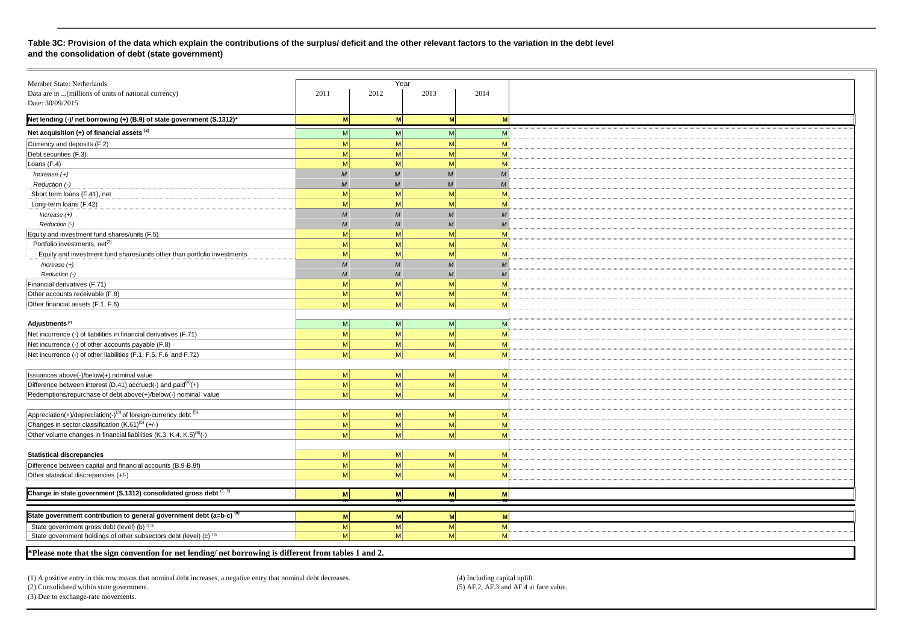#### **Table 3C: Provision of the data which explain the contributions of the surplus/ deficit and the other relevant factors to the variation in the debt level and the consolidation of debt (state government)**

| Member State: Netherlands                                                                             |                  | Year             |                  |                  |
|-------------------------------------------------------------------------------------------------------|------------------|------------------|------------------|------------------|
| Data are in  (millions of units of national currency)                                                 | 2011             | 2012             | 2013             | 2014             |
| Date: 30/09/2015                                                                                      |                  |                  |                  |                  |
| Net lending (-)/ net borrowing (+) (B.9) of state government (S.1312)*                                | M                | <b>M</b>         | <b>M</b>         | M                |
| Net acquisition $(+)$ of financial assets $(2)$                                                       | M                | M                | M                | M                |
| Currency and deposits (F.2)                                                                           | M                | M                | M                | M                |
| Debt securities (F.3)                                                                                 | M                | M                | M                | M                |
| Loans (F.4)                                                                                           | M                | M                | M                | M                |
| $Increase (+)$                                                                                        | $\cal M$         | $\boldsymbol{M}$ | $\boldsymbol{M}$ | $\boldsymbol{M}$ |
| Reduction (-)                                                                                         | M                | M                | $\overline{M}$   | M                |
|                                                                                                       | M                | M                | M                | M                |
| Short term loans (F.41), net                                                                          | M <sub>l</sub>   | M                | M                | M                |
| Long-term loans (F.42)                                                                                | M                | M                | M                | $\overline{M}$   |
| $Increase (+)$                                                                                        | $\overline{M}$   | $\overline{M}$   | $\overline{M}$   |                  |
| Reduction (-)                                                                                         |                  |                  |                  | M                |
| Equity and investment fund shares/units (F.5)                                                         | M                | M                | M                | M                |
| Portfolio investments, net <sup>(2)</sup>                                                             | M                | M                | M                | M                |
| Equity and investment fund shares/units other than portfolio investments                              | M                | M                | M                | M                |
| $Increase (+)$                                                                                        | $\boldsymbol{M}$ | M                | $\overline{M}$   | $\boldsymbol{M}$ |
| Reduction (-)                                                                                         | $\overline{M}$   | M                | $\overline{M}$   | $\boldsymbol{M}$ |
| Financial derivatives (F.71)                                                                          | M                | M                | M                | M                |
| Other accounts receivable (F.8)                                                                       | M                | M                | M                | M                |
| Other financial assets (F.1, F.6)                                                                     | M                | <sub>M</sub>     | M                | M                |
|                                                                                                       |                  |                  |                  |                  |
| Adjustments <sup>(2)</sup>                                                                            | M                | M                | M                | M                |
| Net incurrence (-) of liabilities in financial derivatives (F.71)                                     | M                | M                | M                | M                |
| Net incurrence (-) of other accounts payable (F.8)                                                    | M                | M                | M                | M                |
| Net incurrence (-) of other liabilities (F.1, F.5, F.6 and F.72)                                      | M                | M                | M                | M                |
|                                                                                                       |                  |                  |                  |                  |
| Issuances above(-)/below(+) nominal value                                                             | M                | M                | M <sub>l</sub>   | $\mathsf{M}$     |
| Difference between interest (D.41) accrued(-) and $\text{paid}^{(4)}(+)$                              | M                | M                | M <sub>l</sub>   | M                |
| Redemptions/repurchase of debt above(+)/below(-) nominal value                                        | M                | M                | M                | M                |
|                                                                                                       |                  |                  |                  |                  |
|                                                                                                       |                  |                  |                  |                  |
| $Appreciation(+)/deprecision(-)^{(3)}$ of foreign-currency debt (5)                                   | M                | M                | M                | M                |
| Changes in sector classification (K.61) <sup>(5)</sup> (+/-)                                          | M                | M                | M                | M                |
| Other volume changes in financial liabilities (K.3, K.4, K.5) <sup>(5)</sup> (-)                      | M                | M                | M                | M                |
|                                                                                                       |                  |                  |                  |                  |
| <b>Statistical discrepancies</b>                                                                      | M                | M                | M                | M                |
| Difference between capital and financial accounts (B.9-B.9f)                                          | M <sub>l</sub>   | M                | M <sub>l</sub>   | M                |
| Other statistical discrepancies (+/-)                                                                 | M                | M                | M                | M                |
|                                                                                                       |                  |                  |                  |                  |
| Change in state government (S.1312) consolidated gross debt (1, 2)                                    | <b>M</b>         | M                | <b>M</b>         | M                |
|                                                                                                       |                  |                  |                  |                  |
| State government contribution to general government debt (a=b-c) <sup>(5)</sup>                       | M                | M                | <b>M</b>         | M                |
| State government gross debt (level) (b) (2,5)                                                         | M <sub>l</sub>   | M                | M                | M                |
| State government holdings of other subsectors debt (level) (c) (5)                                    | M <sub>l</sub>   | M <sup>2</sup>   | M <sup>2</sup>   | M                |
|                                                                                                       |                  |                  |                  |                  |
| *Please note that the sign convention for net lending/net borrowing is different from tables 1 and 2. |                  |                  |                  |                  |

(1) A positive entry in this row means that nominal debt increases, a negative entry that nominal debt decreases. (4) Including capital uplift (4) Including capital uplift (5) AF.2, AF.3 and AF.4 at face value.  $(2)$  Consolidated within state government.

(3) Due to exchange-rate movements.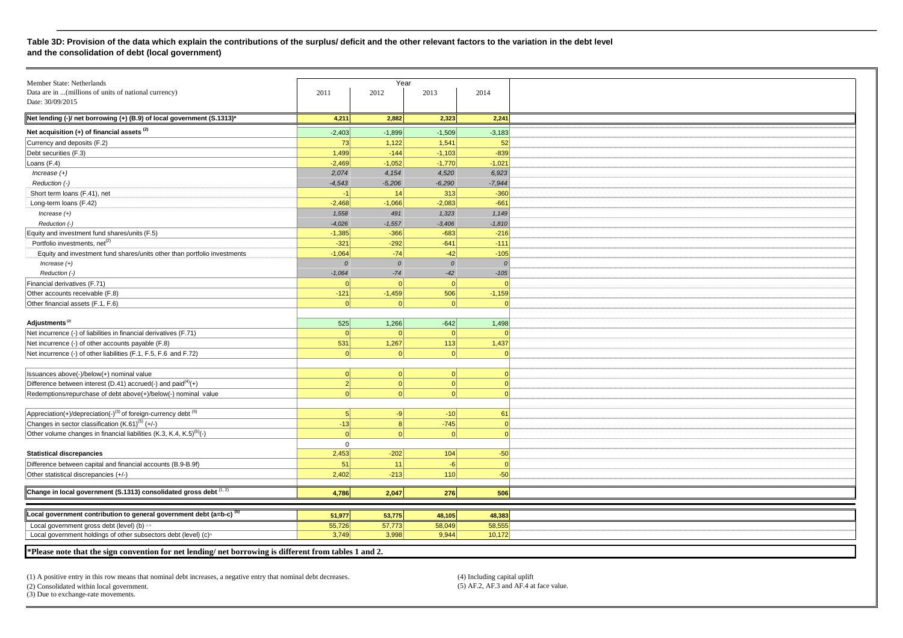#### **Table 3D: Provision of the data which explain the contributions of the surplus/ deficit and the other relevant factors to the variation in the debt level and the consolidation of debt (local government)**

| Member State: Netherlands                                                                             |                | Year     |               |          |
|-------------------------------------------------------------------------------------------------------|----------------|----------|---------------|----------|
| Data are in  (millions of units of national currency)                                                 | 2011           | 2012     | 2013          | 2014     |
| Date: 30/09/2015                                                                                      |                |          |               |          |
| Net lending (-)/ net borrowing (+) (B.9) of local government (S.1313)*                                | 4,211          | 2,882    | 2,323         | 2,241    |
|                                                                                                       |                |          |               |          |
| Net acquisition (+) of financial assets (2)                                                           | $-2,403$       | $-1,899$ | $-1,509$      | $-3,183$ |
| Currency and deposits (F.2)                                                                           | 73             | 1,122    | 1,541         | 52       |
| Debt securities (F.3)                                                                                 | 1,499          | $-144$   | $-1,103$      | $-839$   |
| Loans (F.4)                                                                                           | $-2,469$       | $-1,052$ | $-1,770$      | $-1,021$ |
| $Increase (+)$                                                                                        | 2,074          | 4,154    | 4,520         | 6,923    |
| Reduction (-)                                                                                         | $-4,543$       | $-5,206$ | $-6,290$      | $-7,944$ |
| Short term loans (F.41), net                                                                          | $-1$           | 14       | 313           | $-360$   |
| Long-term loans (F.42)                                                                                | $-2,468$       | $-1,066$ | $-2,083$      | $-661$   |
| $Increase (+)$                                                                                        | 1,558          | 491      | 1,323         | 1,149    |
| Reduction (-)                                                                                         | $-4,026$       | $-1,557$ | $-3,406$      | $-1,810$ |
| Equity and investment fund shares/units (F.5)                                                         | $-1,385$       | $-366$   | $-683$        | $-216$   |
| Portfolio investments, net <sup>(2)</sup>                                                             | $-321$         | $-292$   | $-641$        | $-111$   |
| Equity and investment fund shares/units other than portfolio investments                              | $-1,064$       | $-74$    | $-42$         | $-105$   |
| $Increase (+)$                                                                                        | $\Omega$       | $\Omega$ | $\mathcal{O}$ | $\Omega$ |
| Reduction (-)                                                                                         | $-1,064$       | $-74$    | $-42$         | $-105$   |
|                                                                                                       |                |          |               |          |
| Financial derivatives (F.71)                                                                          | $\Omega$       |          | $\Omega$      |          |
| Other accounts receivable (F.8)                                                                       | $-121$         | $-1,459$ | 506           | $-1,159$ |
| Other financial assets (F.1, F.6)                                                                     | $\Omega$       | $\Omega$ | 0             | $\Omega$ |
|                                                                                                       |                |          |               |          |
| Adjustments <sup>(2)</sup>                                                                            | 525            | 1,266    | $-642$        | 1,498    |
| Net incurrence (-) of liabilities in financial derivatives (F.71)                                     | 0              | $\Omega$ | $\Omega$      | $\Omega$ |
| Net incurrence (-) of other accounts payable (F.8)                                                    | 531            | 1,267    | 113           | 1,437    |
| Net incurrence (-) of other liabilities (F.1, F.5, F.6 and F.72)                                      | $\Omega$       |          | $\Omega$      |          |
|                                                                                                       |                |          |               |          |
| Issuances above(-)/below(+) nominal value                                                             | 0              | $\Omega$ | 0             | $\Omega$ |
| Difference between interest (D.41) accrued(-) and paid $(4)$ (+)                                      | $\overline{2}$ | 0        | 0             | $\Omega$ |
| Redemptions/repurchase of debt above(+)/below(-) nominal value                                        | 0              | $\Omega$ | 0             | $\Omega$ |
|                                                                                                       |                |          |               |          |
| Appreciation(+)/depreciation(-) <sup>(3)</sup> of foreign-currency debt <sup>(5)</sup>                | 5              | $-9$     | $-10$         | 61       |
| Changes in sector classification (K.61) <sup>(5)</sup> (+/-)                                          | $-13$          | 8        | $-745$        | $\Omega$ |
| Other volume changes in financial liabilities (K.3, K.4, K.5) <sup>(5)</sup> (-)                      | $\Omega$       | $\Omega$ | 0             | $\Omega$ |
|                                                                                                       | $\mathbf{0}$   |          |               |          |
| <b>Statistical discrepancies</b>                                                                      | 2,453          | $-202$   | 104           | $-50$    |
| Difference between capital and financial accounts (B.9-B.9f)                                          | 51             | 11       | $-6$          | $\Omega$ |
| Other statistical discrepancies (+/-)                                                                 | 2,402          | $-213$   | 110           | $-50$    |
|                                                                                                       |                |          |               |          |
| Change in local government (S.1313) consolidated gross debt (1, 2)                                    | 4,786          | 2,047    | 276           | 506      |
|                                                                                                       |                |          |               |          |
| Local government contribution to general government debt (a=b-c) <sup>(5)</sup>                       | 51,977         | 53,775   | 48,105        | 48,383   |
| Local government gross debt (level) (b) as                                                            | 55,726         | 57,773   | 58,049        | 58,555   |
| Local government holdings of other subsectors debt (level) (c) <sup>®</sup>                           | 3,749          | 3,998    | 9,944         | 10,172   |
|                                                                                                       |                |          |               |          |
| *Please note that the sign convention for net lending/net borrowing is different from tables 1 and 2. |                |          |               |          |

(1) A positive entry in this row means that nominal debt increases, a negative entry that nominal debt decreases. (4) Including capital uplift (5) AF.2, AF.3 and AF.4 at face value.

(2) Consolidated within local government. (3) Due to exchange-rate movements.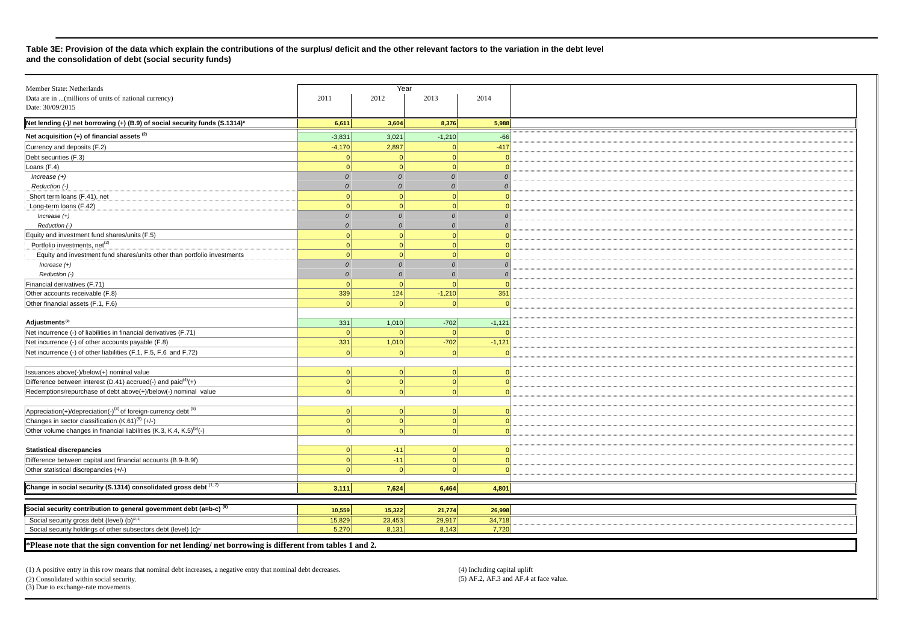#### **Table 3E: Provision of the data which explain the contributions of the surplus/ deficit and the other relevant factors to the variation in the debt level and the consolidation of debt (social security funds)**

| Member State: Netherlands                                                        |               | Year              |                  |                |
|----------------------------------------------------------------------------------|---------------|-------------------|------------------|----------------|
| Data are in  (millions of units of national currency)                            | 2011          | 2012              | 2013             | 2014           |
| Date: 30/09/2015                                                                 |               |                   |                  |                |
| Net lending (-)/ net borrowing (+) (B.9) of social security funds (S.1314)*      | 6,611         | 3,604             | 8,376            | 5,988          |
| Net acquisition $(+)$ of financial assets $(2)$                                  | $-3,831$      | 3,021             | $-1,210$         | $-66$          |
| Currency and deposits (F.2)                                                      | $-4,170$      | 2,897             | $\Omega$         | $-417$         |
| Debt securities (F.3)                                                            | $\Omega$      | $\Omega$          | 0                | $\Omega$       |
| Loans (F.4)                                                                      | $\Omega$      | $\Omega$          | 0                | $\Omega$       |
| $Increase (+)$                                                                   | $\mathcal{O}$ | $\Omega$          | $\boldsymbol{0}$ | $\theta$       |
| Reduction (-)                                                                    | $\Omega$      | $\Omega$          | $\mathcal{O}$    | $\Omega$       |
| Short term loans (F.41), net                                                     | $\Omega$      | $\Omega$          | 0                | C              |
| Long-term loans (F.42)                                                           | $\Omega$      | $\Omega$          | 0                | c              |
| $Increase (+)$                                                                   | $\mathcal{O}$ | $\Omega$          | $\mathcal{O}$    | $\Omega$       |
| Reduction (-)                                                                    | $\Omega$      |                   | $\Omega$         | $\Omega$       |
| Equity and investment fund shares/units (F.5)                                    | $\Omega$      | $\Omega$          | 0                | $\Omega$       |
| Portfolio investments, net <sup>(2)</sup>                                        | 0             | - ol              | 0                | $\Omega$       |
|                                                                                  | $\Omega$      | $\Omega$          | 0                | c              |
| Equity and investment fund shares/units other than portfolio investments         |               | $\Omega$          | $\Omega$         |                |
| $Increase (+)$                                                                   | $\mathcal{O}$ |                   |                  | $\Omega$       |
| Reduction (-)                                                                    | $\mathcal{O}$ | $\Omega$          | $\Omega$         | $\overline{0}$ |
| Financial derivatives (F.71)                                                     | - ol          | $\Omega$          | 0                | $\Omega$       |
| Other accounts receivable (F.8)                                                  | 339           | 124               | $-1,210$         | 351            |
| Other financial assets (F.1, F.6)                                                | - ol          | - ol              | $\Omega$         | $\Omega$       |
| Adjustments <sup>(2)</sup>                                                       | 331           |                   | $-702$           |                |
|                                                                                  | 0             | 1,010<br>$\Omega$ | $\Omega$         | $-1,121$       |
| Net incurrence (-) of liabilities in financial derivatives (F.71)                |               |                   |                  |                |
| Net incurrence (-) of other accounts payable (F.8)                               | 331           | 1,010             | $-702$           | $-1,121$       |
| Net incurrence (-) of other liabilities (F.1, F.5, F.6 and F.72)                 | $\Omega$      | $\Omega$          | 0                | $\Omega$       |
|                                                                                  |               |                   |                  |                |
| Issuances above(-)/below(+) nominal value                                        | 0             | $\Omega$          | 0                | $\Omega$       |
| Difference between interest (D.41) $\arccos($ -) and $\arccos(4)$ (+)            | 0             | 0                 | 0                | $\Omega$       |
| Redemptions/repurchase of debt above(+)/below(-) nominal value                   | 0             | $\Omega$          | 0                | $\Omega$       |
|                                                                                  |               |                   |                  |                |
| $Appreciation(+)/deprecision(-)^{(3)}$ of foreign-currency debt (5)              | 0             | $\Omega$          | 0                | $\Omega$       |
| Changes in sector classification (K.61) <sup>(5)</sup> (+/-)                     | 0             | 0                 | 0                | $\Omega$       |
| Other volume changes in financial liabilities (K.3, K.4, K.5) <sup>(5)</sup> (-) | $\Omega$      |                   | 0                | $\Omega$       |
|                                                                                  |               |                   |                  |                |
| <b>Statistical discrepancies</b>                                                 | 0             | $-11$             | 0                | $\Omega$       |
| Difference between capital and financial accounts (B.9-B.9f)                     | 0             | $-11$             | 0                | $\Omega$       |
| Other statistical discrepancies (+/-)                                            | $\Omega$      | - ol              | 0                | $\Omega$       |
|                                                                                  |               |                   |                  |                |
| Change in social security (S.1314) consolidated gross debt (1, 2)                | 3,111         | 7,624             | 6,464            | 4,801          |
|                                                                                  |               |                   |                  |                |
| Social security contribution to general government debt (a=b-c) <sup>(5)</sup>   | 10,559        | 15,322            | 21,774           | 26,998         |
| Social security gross debt (level) (b) <sup>(2, 5)</sup>                         | 15,829        | 23,453            | 29,917           | 34,718         |
| Social security holdings of other subsectors debt (level) (c) <sup>®</sup>       | 5,270         | 8,131             | 8,143            | 7,720          |
|                                                                                  |               |                   |                  |                |

**\*Please note that the sign convention for net lending/ net borrowing is different from tables 1 and 2.** 

(1) A positive entry in this row means that nominal debt increases, a negative entry that nominal debt decreases. (4) Including capital uplift (4) Including capital uplift (4) Including capital uplift (4) Consolidated with  $(2)$  Consolidated within social security. (3) Due to exchange-rate movements.